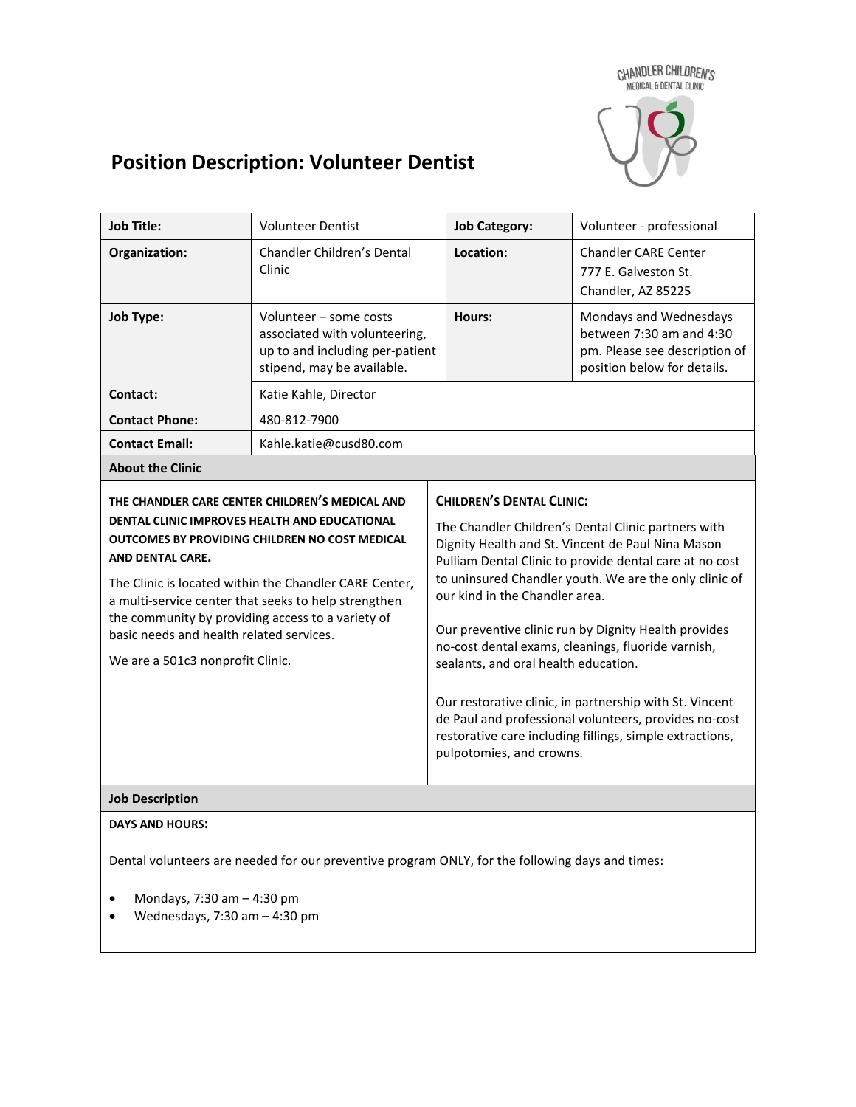CHANDLER CHILDREN'S<br>MEDICAL & DENTAL CLINIC



# **Position Description: Volunteer Dentist**

| <b>Job Title:</b>                                                                                                                                                                                                                                                                                                                                                                                                             | <b>Volunteer Dentist</b>                                                                                                 | <b>Job Category:</b>                                                                                                                                                                                                                                                                                                                                                                                                                                                                                                                                                                                                                                                  | Volunteer - professional                                                                                           |
|-------------------------------------------------------------------------------------------------------------------------------------------------------------------------------------------------------------------------------------------------------------------------------------------------------------------------------------------------------------------------------------------------------------------------------|--------------------------------------------------------------------------------------------------------------------------|-----------------------------------------------------------------------------------------------------------------------------------------------------------------------------------------------------------------------------------------------------------------------------------------------------------------------------------------------------------------------------------------------------------------------------------------------------------------------------------------------------------------------------------------------------------------------------------------------------------------------------------------------------------------------|--------------------------------------------------------------------------------------------------------------------|
| Organization:                                                                                                                                                                                                                                                                                                                                                                                                                 | <b>Chandler Children's Dental</b><br>Clinic                                                                              | Location:                                                                                                                                                                                                                                                                                                                                                                                                                                                                                                                                                                                                                                                             | <b>Chandler CARE Center</b><br>777 E. Galveston St.<br>Chandler, AZ 85225                                          |
| Job Type:                                                                                                                                                                                                                                                                                                                                                                                                                     | Volunteer - some costs<br>associated with volunteering,<br>up to and including per-patient<br>stipend, may be available. | Hours:                                                                                                                                                                                                                                                                                                                                                                                                                                                                                                                                                                                                                                                                | Mondays and Wednesdays<br>between 7:30 am and 4:30<br>pm. Please see description of<br>position below for details. |
| Contact:                                                                                                                                                                                                                                                                                                                                                                                                                      | Katie Kahle, Director                                                                                                    |                                                                                                                                                                                                                                                                                                                                                                                                                                                                                                                                                                                                                                                                       |                                                                                                                    |
| <b>Contact Phone:</b>                                                                                                                                                                                                                                                                                                                                                                                                         | 480-812-7900                                                                                                             |                                                                                                                                                                                                                                                                                                                                                                                                                                                                                                                                                                                                                                                                       |                                                                                                                    |
| <b>Contact Email:</b>                                                                                                                                                                                                                                                                                                                                                                                                         | Kahle.katie@cusd80.com                                                                                                   |                                                                                                                                                                                                                                                                                                                                                                                                                                                                                                                                                                                                                                                                       |                                                                                                                    |
| <b>About the Clinic</b>                                                                                                                                                                                                                                                                                                                                                                                                       |                                                                                                                          |                                                                                                                                                                                                                                                                                                                                                                                                                                                                                                                                                                                                                                                                       |                                                                                                                    |
| THE CHANDLER CARE CENTER CHILDREN'S MEDICAL AND<br>DENTAL CLINIC IMPROVES HEALTH AND EDUCATIONAL<br>OUTCOMES BY PROVIDING CHILDREN NO COST MEDICAL<br>AND DENTAL CARE.<br>The Clinic is located within the Chandler CARE Center,<br>a multi-service center that seeks to help strengthen<br>the community by providing access to a variety of<br>basic needs and health related services.<br>We are a 501c3 nonprofit Clinic. |                                                                                                                          | <b>CHILDREN'S DENTAL CLINIC:</b><br>The Chandler Children's Dental Clinic partners with<br>Dignity Health and St. Vincent de Paul Nina Mason<br>Pulliam Dental Clinic to provide dental care at no cost<br>to uninsured Chandler youth. We are the only clinic of<br>our kind in the Chandler area.<br>Our preventive clinic run by Dignity Health provides<br>no-cost dental exams, cleanings, fluoride varnish,<br>sealants, and oral health education.<br>Our restorative clinic, in partnership with St. Vincent<br>de Paul and professional volunteers, provides no-cost<br>restorative care including fillings, simple extractions,<br>pulpotomies, and crowns. |                                                                                                                    |
| <b>Job Description</b>                                                                                                                                                                                                                                                                                                                                                                                                        |                                                                                                                          |                                                                                                                                                                                                                                                                                                                                                                                                                                                                                                                                                                                                                                                                       |                                                                                                                    |
| <b>DAYS AND HOURS:</b><br>Dental volunteers are needed for our preventive program ONLY, for the following days and times:<br>Mondays, 7:30 am - 4:30 pm<br>Wednesdays, $7:30$ am $-4:30$ pm                                                                                                                                                                                                                                   |                                                                                                                          |                                                                                                                                                                                                                                                                                                                                                                                                                                                                                                                                                                                                                                                                       |                                                                                                                    |